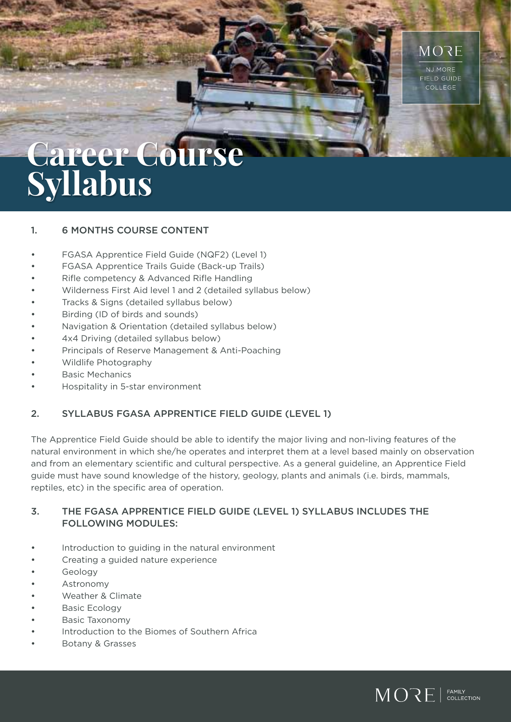

# **Career Course Syllabus**

#### 1. 6 MONTHS COURSE CONTENT

- FGASA Apprentice Field Guide (NQF2) (Level 1)
- FGASA Apprentice Trails Guide (Back-up Trails)
- Rifle competency & Advanced Rifle Handling
- Wilderness First Aid level 1 and 2 (detailed syllabus below)
- Tracks & Signs (detailed syllabus below)
- Birding (ID of birds and sounds)
- Navigation & Orientation (detailed syllabus below)
- 4x4 Driving (detailed syllabus below)
- Principals of Reserve Management & Anti-Poaching
- Wildlife Photography
- Basic Mechanics
- Hospitality in 5-star environment

#### 2. SYLLABUS FGASA APPRENTICE FIELD GUIDE (LEVEL 1)

The Apprentice Field Guide should be able to identify the major living and non-living features of the natural environment in which she/he operates and interpret them at a level based mainly on observation and from an elementary scientific and cultural perspective. As a general guideline, an Apprentice Field guide must have sound knowledge of the history, geology, plants and animals (i.e. birds, mammals, reptiles, etc) in the specific area of operation.

#### 3. THE FGASA APPRENTICE FIELD GUIDE (LEVEL 1) SYLLABUS INCLUDES THE FOLLOWING MODULES:

- Introduction to guiding in the natural environment
- Creating a guided nature experience
- Geology
- **Astronomy**
- Weather & Climate
- Basic Ecology
- Basic Taxonomy
- Introduction to the Biomes of Southern Africa
- Botany & Grasses

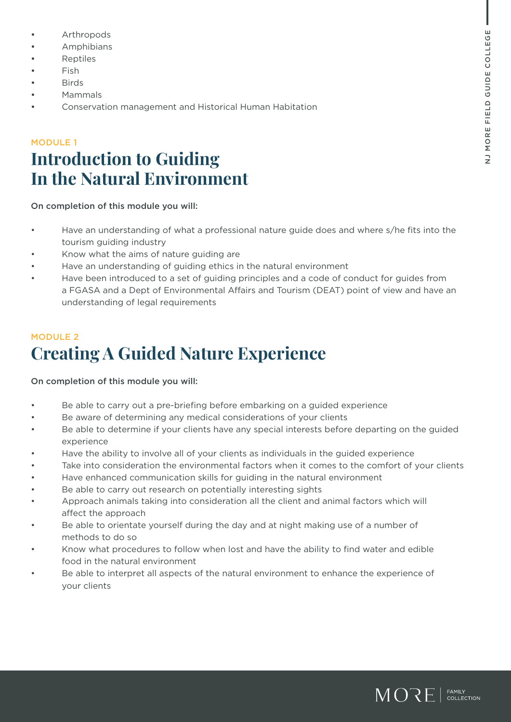- **Arthropods**
- Amphibians
- **Reptiles**
- Fish
- Birds
- Mammals
- Conservation management and Historical Human Habitation

### MODULE 1 **Introduction to Guiding In the Natural Environment**

On completion of this module you will:

- Have an understanding of what a professional nature guide does and where s/he fits into the tourism guiding industry
- Know what the aims of nature guiding are
- Have an understanding of guiding ethics in the natural environment
- Have been introduced to a set of guiding principles and a code of conduct for guides from a FGASA and a Dept of Environmental Affairs and Tourism (DEAT) point of view and have an understanding of legal requirements

# MODULE 2 **Creating A Guided Nature Experience**

- Be able to carry out a pre-briefing before embarking on a guided experience
- Be aware of determining any medical considerations of your clients
- Be able to determine if your clients have any special interests before departing on the guided experience
- Have the ability to involve all of your clients as individuals in the guided experience
- Take into consideration the environmental factors when it comes to the comfort of your clients
- Have enhanced communication skills for guiding in the natural environment
- Be able to carry out research on potentially interesting sights
- Approach animals taking into consideration all the client and animal factors which will affect the approach
- Be able to orientate yourself during the day and at night making use of a number of methods to do so
- Know what procedures to follow when lost and have the ability to find water and edible food in the natural environment
- Be able to interpret all aspects of the natural environment to enhance the experience of your clients

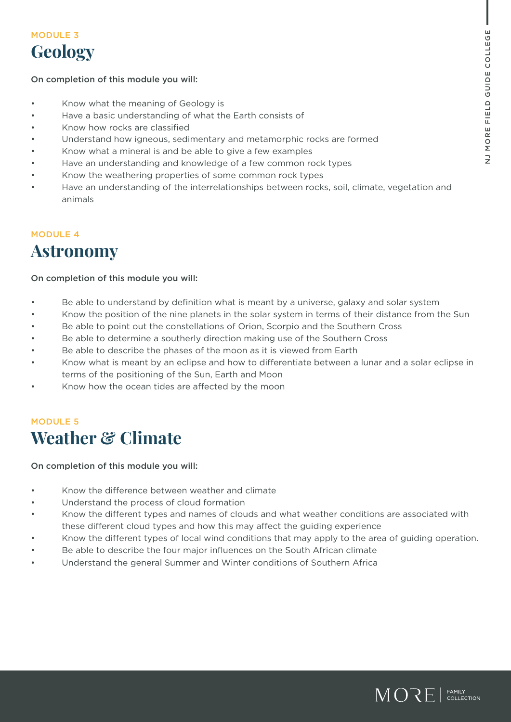### MODULE 3 **Geology**

#### On completion of this module you will:

- Know what the meaning of Geology is
- Have a basic understanding of what the Earth consists of
- Know how rocks are classified
- Understand how igneous, sedimentary and metamorphic rocks are formed
- Know what a mineral is and be able to give a few examples
- Have an understanding and knowledge of a few common rock types
- Know the weathering properties of some common rock types
- Have an understanding of the interrelationships between rocks, soil, climate, vegetation and animals

### MODULE 4 **Astronomy**

#### On completion of this module you will:

- Be able to understand by definition what is meant by a universe, galaxy and solar system
- Know the position of the nine planets in the solar system in terms of their distance from the Sun
- Be able to point out the constellations of Orion, Scorpio and the Southern Cross
- Be able to determine a southerly direction making use of the Southern Cross
- Be able to describe the phases of the moon as it is viewed from Earth
- Know what is meant by an eclipse and how to differentiate between a lunar and a solar eclipse in terms of the positioning of the Sun, Earth and Moon
- Know how the ocean tides are affected by the moon

### MODULE 5 **Weather & Climate**

- Know the difference between weather and climate
- Understand the process of cloud formation
- Know the different types and names of clouds and what weather conditions are associated with these different cloud types and how this may affect the guiding experience
- Know the different types of local wind conditions that may apply to the area of guiding operation.
- Be able to describe the four major influences on the South African climate
- Understand the general Summer and Winter conditions of Southern Africa

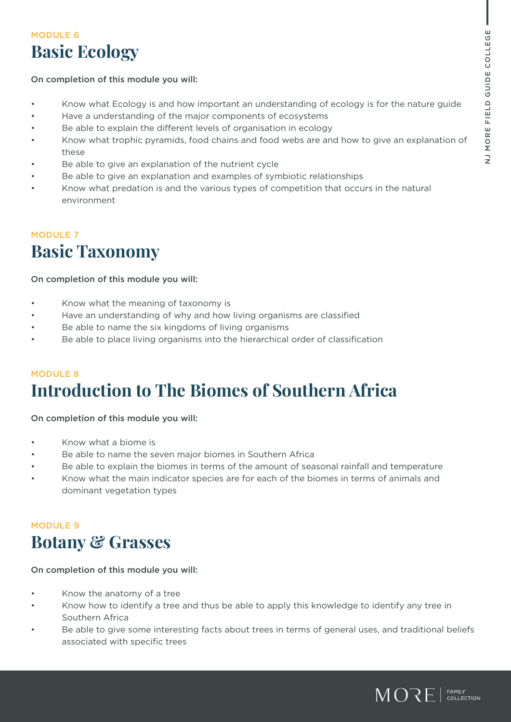## MODULE 6 **Basic Ecology**

#### On completion of this module you will:

- Know what Ecology is and how important an understanding of ecology is for the nature guide
- Have a understanding of the major components of ecosystems
- Be able to explain the different levels of organisation in ecology
- Know what trophic pyramids, food chains and food webs are and how to give an explanation of these
- Be able to give an explanation of the nutrient cycle
- Be able to give an explanation and examples of symbiotic relationships
- Know what predation is and the various types of competition that occurs in the natural environment

### MODULE 7 **Basic Taxonomy**

#### On completion of this module you will:

- Know what the meaning of taxonomy is
- Have an understanding of why and how living organisms are classified
- Be able to name the six kingdoms of living organisms
- Be able to place living organisms into the hierarchical order of classification

# MODULE 8 **Introduction to The Biomes of Southern Africa**

On completion of this module you will:

- Know what a biome is
- Be able to name the seven major biomes in Southern Africa
- Be able to explain the biomes in terms of the amount of seasonal rainfall and temperature
- Know what the main indicator species are for each of the biomes in terms of animals and dominant vegetation types

### MODULE 9 **Botany & Grasses**

- Know the anatomy of a tree
- Know how to identify a tree and thus be able to apply this knowledge to identify any tree in Southern Africa
- Be able to give some interesting facts about trees in terms of general uses, and traditional beliefs associated with specific trees

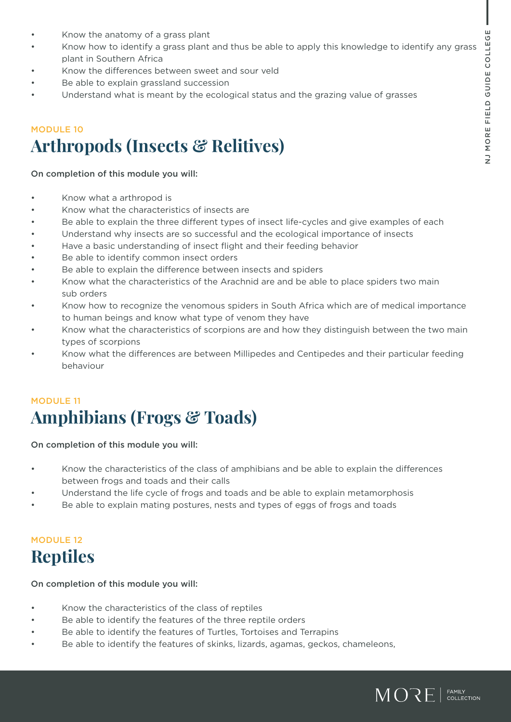- Know the anatomy of a grass plant
- Know how to identify a grass plant and thus be able to apply this knowledge to identify any grass plant in Southern Africa
- Know the differences between sweet and sour veld
- Be able to explain grassland succession
- Understand what is meant by the ecological status and the grazing value of grasses

# MODULE 10 **Arthropods (Insects & Relitives)**

#### On completion of this module you will:

- Know what a arthropod is
- Know what the characteristics of insects are
- Be able to explain the three different types of insect life-cycles and give examples of each
- Understand why insects are so successful and the ecological importance of insects
- Have a basic understanding of insect flight and their feeding behavior
- Be able to identify common insect orders
- Be able to explain the difference between insects and spiders
- Know what the characteristics of the Arachnid are and be able to place spiders two main sub orders
- Know how to recognize the venomous spiders in South Africa which are of medical importance to human beings and know what type of venom they have
- Know what the characteristics of scorpions are and how they distinguish between the two main types of scorpions
- Know what the differences are between Millipedes and Centipedes and their particular feeding behaviour

# MODULE 11 **Amphibians (Frogs & Toads)**

#### On completion of this module you will:

- Know the characteristics of the class of amphibians and be able to explain the differences between frogs and toads and their calls
- Understand the life cycle of frogs and toads and be able to explain metamorphosis
- Be able to explain mating postures, nests and types of eggs of frogs and toads

### MODULE 12 **Reptiles**

- Know the characteristics of the class of reptiles
- Be able to identify the features of the three reptile orders
- Be able to identify the features of Turtles, Tortoises and Terrapins
- Be able to identify the features of skinks, lizards, agamas, geckos, chameleons,

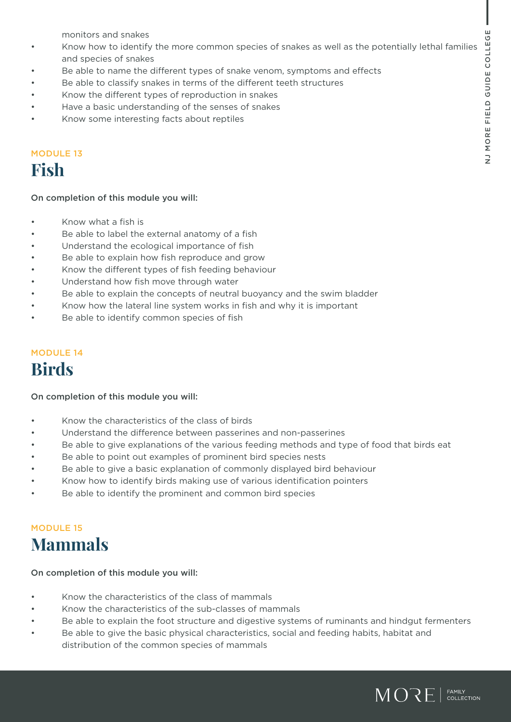monitors and snakes

- Know how to identify the more common species of snakes as well as the potentially lethal families and species of snakes
- Be able to name the different types of snake venom, symptoms and effects
- Be able to classify snakes in terms of the different teeth structures
- Know the different types of reproduction in snakes
- Have a basic understanding of the senses of snakes
- Know some interesting facts about reptiles

### MODULE 13

# **Fish**

#### On completion of this module you will:

- Know what a fish is
- Be able to label the external anatomy of a fish
- Understand the ecological importance of fish
- Be able to explain how fish reproduce and grow
- Know the different types of fish feeding behaviour
- Understand how fish move through water
- Be able to explain the concepts of neutral buoyancy and the swim bladder
- Know how the lateral line system works in fish and why it is important
- Be able to identify common species of fish

### MODULE 14 **Birds**

#### On completion of this module you will:

- Know the characteristics of the class of birds
- Understand the difference between passerines and non-passerines
- Be able to give explanations of the various feeding methods and type of food that birds eat
- Be able to point out examples of prominent bird species nests
- Be able to give a basic explanation of commonly displayed bird behaviour
- Know how to identify birds making use of various identification pointers
- Be able to identify the prominent and common bird species

### MODULE 15 **Mammals**

- Know the characteristics of the class of mammals
- Know the characteristics of the sub-classes of mammals
- Be able to explain the foot structure and digestive systems of ruminants and hindgut fermenters
- Be able to give the basic physical characteristics, social and feeding habits, habitat and distribution of the common species of mammals

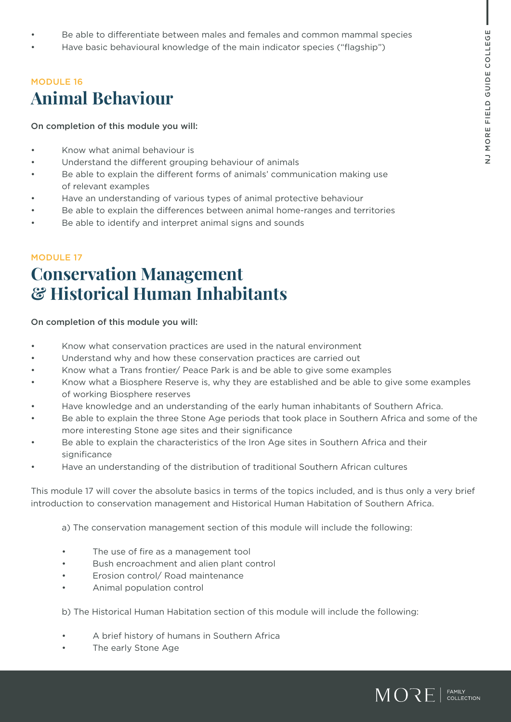- Be able to differentiate between males and females and common mammal species
- Have basic behavioural knowledge of the main indicator species ("flagship")

# MODULE 16 **Animal Behaviour**

On completion of this module you will:

- Know what animal behaviour is
- Understand the different grouping behaviour of animals
- Be able to explain the different forms of animals' communication making use of relevant examples
- Have an understanding of various types of animal protective behaviour
- Be able to explain the differences between animal home-ranges and territories
- Be able to identify and interpret animal signs and sounds

### MODULE 17 **Conservation Management & Historical Human Inhabitants**

#### On completion of this module you will:

- Know what conservation practices are used in the natural environment
- Understand why and how these conservation practices are carried out
- Know what a Trans frontier/ Peace Park is and be able to give some examples
- Know what a Biosphere Reserve is, why they are established and be able to give some examples of working Biosphere reserves
- Have knowledge and an understanding of the early human inhabitants of Southern Africa.
- Be able to explain the three Stone Age periods that took place in Southern Africa and some of the more interesting Stone age sites and their significance
- Be able to explain the characteristics of the Iron Age sites in Southern Africa and their significance
- Have an understanding of the distribution of traditional Southern African cultures

This module 17 will cover the absolute basics in terms of the topics included, and is thus only a very brief introduction to conservation management and Historical Human Habitation of Southern Africa.

a) The conservation management section of this module will include the following:

- The use of fire as a management tool
- Bush encroachment and alien plant control
- Erosion control/ Road maintenance
- Animal population control

b) The Historical Human Habitation section of this module will include the following:

- A brief history of humans in Southern Africa
- The early Stone Age

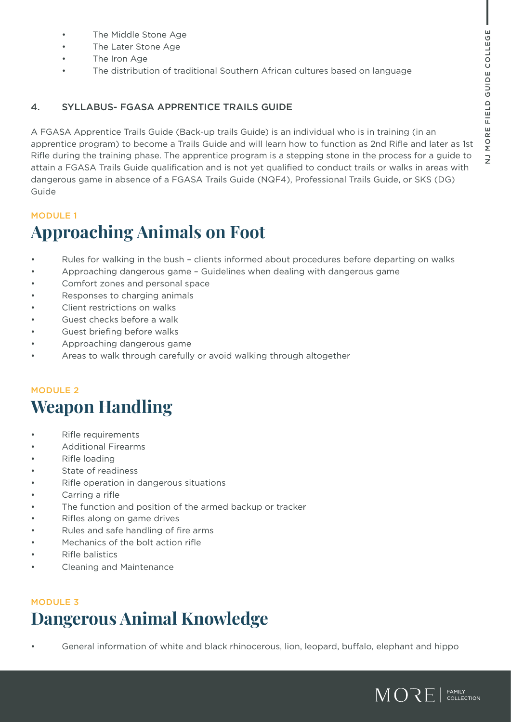- The Middle Stone Age
- The Later Stone Age
- The Iron Age
- The distribution of traditional Southern African cultures based on language

#### 4. SYLLABUS- FGASA APPRENTICE TRAILS GUIDE

A FGASA Apprentice Trails Guide (Back-up trails Guide) is an individual who is in training (in an apprentice program) to become a Trails Guide and will learn how to function as 2nd Rifle and later as 1st Rifle during the training phase. The apprentice program is a stepping stone in the process for a guide to attain a FGASA Trails Guide qualification and is not yet qualified to conduct trails or walks in areas with dangerous game in absence of a FGASA Trails Guide (NQF4), Professional Trails Guide, or SKS (DG) Guide

#### MODULE 1

# **Approaching Animals on Foot**

- Rules for walking in the bush clients informed about procedures before departing on walks
- Approaching dangerous game Guidelines when dealing with dangerous game
- Comfort zones and personal space
- Responses to charging animals
- Client restrictions on walks
- Guest checks before a walk
- Guest briefing before walks
- Approaching dangerous game
- Areas to walk through carefully or avoid walking through altogether

### MODULE 2 **Weapon Handling**

- Rifle requirements
- Additional Firearms
- Rifle loading
- State of readiness
- Rifle operation in dangerous situations
- Carring a rifle
- The function and position of the armed backup or tracker
- Rifles along on game drives
- Rules and safe handling of fire arms
- Mechanics of the bolt action rifle
- Rifle balistics
- Cleaning and Maintenance

### MODULE 3 **Dangerous Animal Knowledge**

• General information of white and black rhinocerous, lion, leopard, buffalo, elephant and hippo